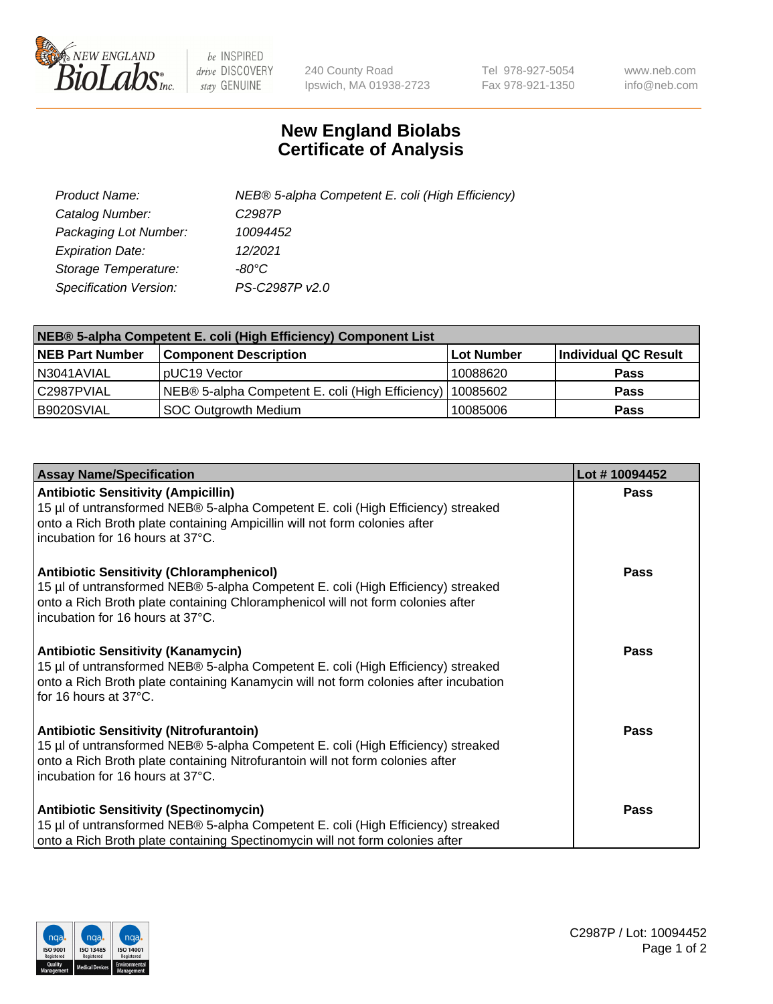

 $be$  INSPIRED drive DISCOVERY stay GENUINE

240 County Road Ipswich, MA 01938-2723 Tel 978-927-5054 Fax 978-921-1350 www.neb.com info@neb.com

## **New England Biolabs Certificate of Analysis**

| Product Name:           | NEB® 5-alpha Competent E. coli (High Efficiency) |
|-------------------------|--------------------------------------------------|
| Catalog Number:         | C <sub>2987</sub> P                              |
| Packaging Lot Number:   | 10094452                                         |
| <b>Expiration Date:</b> | 12/2021                                          |
| Storage Temperature:    | -80°C                                            |
| Specification Version:  | PS-C2987P v2.0                                   |

| NEB® 5-alpha Competent E. coli (High Efficiency) Component List |                                                  |            |                      |  |
|-----------------------------------------------------------------|--------------------------------------------------|------------|----------------------|--|
| <b>NEB Part Number</b>                                          | <b>Component Description</b>                     | Lot Number | Individual QC Result |  |
| N3041AVIAL                                                      | pUC19 Vector                                     | 10088620   | <b>Pass</b>          |  |
| C2987PVIAL                                                      | NEB® 5-alpha Competent E. coli (High Efficiency) | 10085602   | <b>Pass</b>          |  |
| B9020SVIAL                                                      | <b>SOC Outgrowth Medium</b>                      | 10085006   | <b>Pass</b>          |  |

| <b>Assay Name/Specification</b>                                                                                                                                                                                                                              | Lot #10094452 |
|--------------------------------------------------------------------------------------------------------------------------------------------------------------------------------------------------------------------------------------------------------------|---------------|
| <b>Antibiotic Sensitivity (Ampicillin)</b><br>15 µl of untransformed NEB® 5-alpha Competent E. coli (High Efficiency) streaked<br>onto a Rich Broth plate containing Ampicillin will not form colonies after<br>incubation for 16 hours at 37°C.             | <b>Pass</b>   |
| <b>Antibiotic Sensitivity (Chloramphenicol)</b><br>15 µl of untransformed NEB® 5-alpha Competent E. coli (High Efficiency) streaked<br>onto a Rich Broth plate containing Chloramphenicol will not form colonies after<br>l incubation for 16 hours at 37°C. | <b>Pass</b>   |
| <b>Antibiotic Sensitivity (Kanamycin)</b><br>15 µl of untransformed NEB® 5-alpha Competent E. coli (High Efficiency) streaked<br>onto a Rich Broth plate containing Kanamycin will not form colonies after incubation<br>for 16 hours at 37°C.               | Pass          |
| <b>Antibiotic Sensitivity (Nitrofurantoin)</b><br>15 µl of untransformed NEB® 5-alpha Competent E. coli (High Efficiency) streaked<br>onto a Rich Broth plate containing Nitrofurantoin will not form colonies after<br>incubation for 16 hours at 37°C.     | <b>Pass</b>   |
| <b>Antibiotic Sensitivity (Spectinomycin)</b><br>15 µl of untransformed NEB® 5-alpha Competent E. coli (High Efficiency) streaked<br>onto a Rich Broth plate containing Spectinomycin will not form colonies after                                           | <b>Pass</b>   |